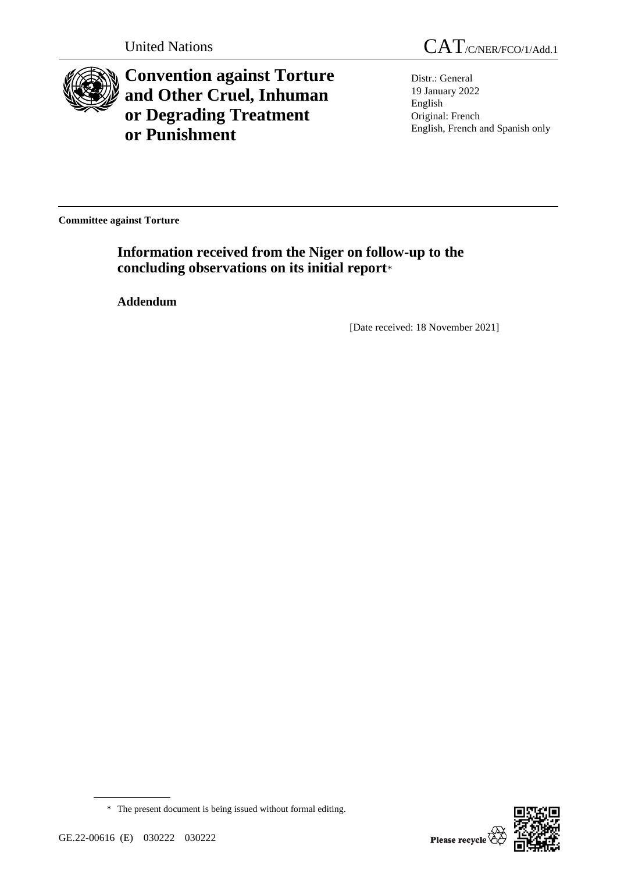

**Convention against Torture and Other Cruel, Inhuman or Degrading Treatment or Punishment**

Distr.: General 19 January 2022 English Original: French English, French and Spanish only

**Committee against Torture**

**Information received from the Niger on follow-up to the concluding observations on its initial report**\*

**Addendum**

[Date received: 18 November 2021]



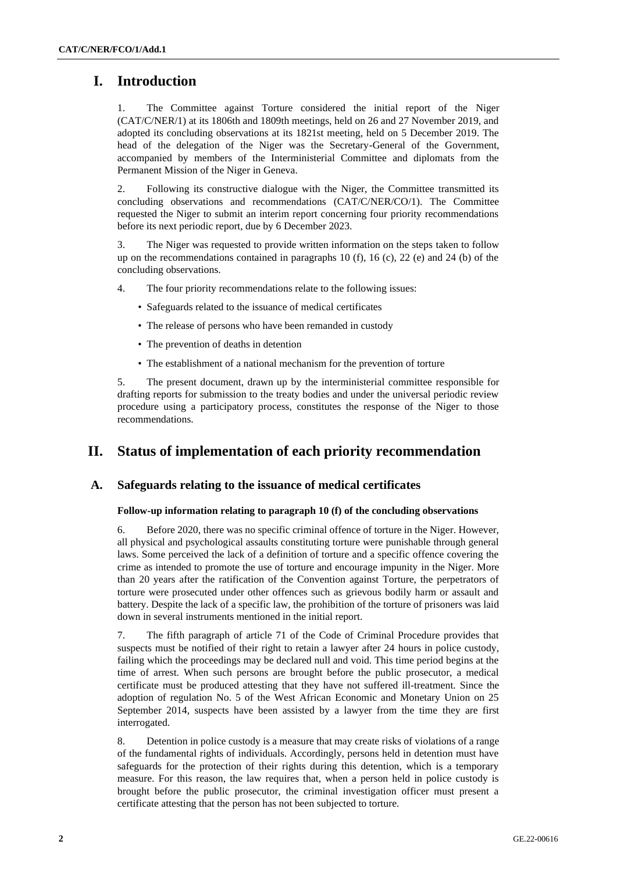# **I. Introduction**

1. The Committee against Torture considered the initial report of the Niger (CAT/C/NER/1) at its 1806th and 1809th meetings, held on 26 and 27 November 2019, and adopted its concluding observations at its 1821st meeting, held on 5 December 2019. The head of the delegation of the Niger was the Secretary-General of the Government, accompanied by members of the Interministerial Committee and diplomats from the Permanent Mission of the Niger in Geneva.

2. Following its constructive dialogue with the Niger, the Committee transmitted its concluding observations and recommendations (CAT/C/NER/CO/1). The Committee requested the Niger to submit an interim report concerning four priority recommendations before its next periodic report, due by 6 December 2023.

3. The Niger was requested to provide written information on the steps taken to follow up on the recommendations contained in paragraphs 10 (f), 16 (c), 22 (e) and 24 (b) of the concluding observations.

- 4. The four priority recommendations relate to the following issues:
	- Safeguards related to the issuance of medical certificates
	- The release of persons who have been remanded in custody
	- The prevention of deaths in detention
	- The establishment of a national mechanism for the prevention of torture

5. The present document, drawn up by the interministerial committee responsible for drafting reports for submission to the treaty bodies and under the universal periodic review procedure using a participatory process, constitutes the response of the Niger to those recommendations.

## **II. Status of implementation of each priority recommendation**

### **A. Safeguards relating to the issuance of medical certificates**

#### **Follow-up information relating to paragraph 10 (f) of the concluding observations**

6. Before 2020, there was no specific criminal offence of torture in the Niger. However, all physical and psychological assaults constituting torture were punishable through general laws. Some perceived the lack of a definition of torture and a specific offence covering the crime as intended to promote the use of torture and encourage impunity in the Niger. More than 20 years after the ratification of the Convention against Torture, the perpetrators of torture were prosecuted under other offences such as grievous bodily harm or assault and battery. Despite the lack of a specific law, the prohibition of the torture of prisoners was laid down in several instruments mentioned in the initial report.

7. The fifth paragraph of article 71 of the Code of Criminal Procedure provides that suspects must be notified of their right to retain a lawyer after 24 hours in police custody, failing which the proceedings may be declared null and void. This time period begins at the time of arrest. When such persons are brought before the public prosecutor, a medical certificate must be produced attesting that they have not suffered ill-treatment. Since the adoption of regulation No. 5 of the West African Economic and Monetary Union on 25 September 2014, suspects have been assisted by a lawyer from the time they are first interrogated.

8. Detention in police custody is a measure that may create risks of violations of a range of the fundamental rights of individuals. Accordingly, persons held in detention must have safeguards for the protection of their rights during this detention, which is a temporary measure. For this reason, the law requires that, when a person held in police custody is brought before the public prosecutor, the criminal investigation officer must present a certificate attesting that the person has not been subjected to torture.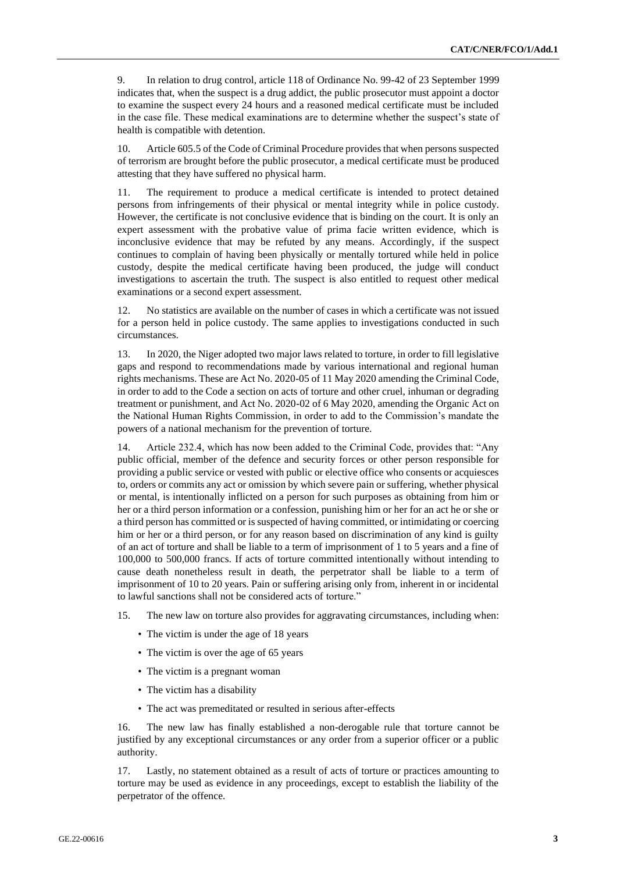9. In relation to drug control, article 118 of Ordinance No. 99-42 of 23 September 1999 indicates that, when the suspect is a drug addict, the public prosecutor must appoint a doctor to examine the suspect every 24 hours and a reasoned medical certificate must be included in the case file. These medical examinations are to determine whether the suspect's state of health is compatible with detention.

10. Article 605.5 of the Code of Criminal Procedure provides that when persons suspected of terrorism are brought before the public prosecutor, a medical certificate must be produced attesting that they have suffered no physical harm.

11. The requirement to produce a medical certificate is intended to protect detained persons from infringements of their physical or mental integrity while in police custody. However, the certificate is not conclusive evidence that is binding on the court. It is only an expert assessment with the probative value of prima facie written evidence, which is inconclusive evidence that may be refuted by any means. Accordingly, if the suspect continues to complain of having been physically or mentally tortured while held in police custody, despite the medical certificate having been produced, the judge will conduct investigations to ascertain the truth. The suspect is also entitled to request other medical examinations or a second expert assessment.

12. No statistics are available on the number of cases in which a certificate was not issued for a person held in police custody. The same applies to investigations conducted in such circumstances.

13. In 2020, the Niger adopted two major laws related to torture, in order to fill legislative gaps and respond to recommendations made by various international and regional human rights mechanisms. These are Act No. 2020-05 of 11 May 2020 amending the Criminal Code, in order to add to the Code a section on acts of torture and other cruel, inhuman or degrading treatment or punishment, and Act No. 2020-02 of 6 May 2020, amending the Organic Act on the National Human Rights Commission, in order to add to the Commission's mandate the powers of a national mechanism for the prevention of torture.

14. Article 232.4, which has now been added to the Criminal Code, provides that: "Any public official, member of the defence and security forces or other person responsible for providing a public service or vested with public or elective office who consents or acquiesces to, orders or commits any act or omission by which severe pain or suffering, whether physical or mental, is intentionally inflicted on a person for such purposes as obtaining from him or her or a third person information or a confession, punishing him or her for an act he or she or a third person has committed or is suspected of having committed, or intimidating or coercing him or her or a third person, or for any reason based on discrimination of any kind is guilty of an act of torture and shall be liable to a term of imprisonment of 1 to 5 years and a fine of 100,000 to 500,000 francs. If acts of torture committed intentionally without intending to cause death nonetheless result in death, the perpetrator shall be liable to a term of imprisonment of 10 to 20 years. Pain or suffering arising only from, inherent in or incidental to lawful sanctions shall not be considered acts of torture."

- 15. The new law on torture also provides for aggravating circumstances, including when:
	- The victim is under the age of 18 years
	- The victim is over the age of 65 years
	- The victim is a pregnant woman
	- The victim has a disability
	- The act was premeditated or resulted in serious after-effects

16. The new law has finally established a non-derogable rule that torture cannot be justified by any exceptional circumstances or any order from a superior officer or a public authority.

17. Lastly, no statement obtained as a result of acts of torture or practices amounting to torture may be used as evidence in any proceedings, except to establish the liability of the perpetrator of the offence.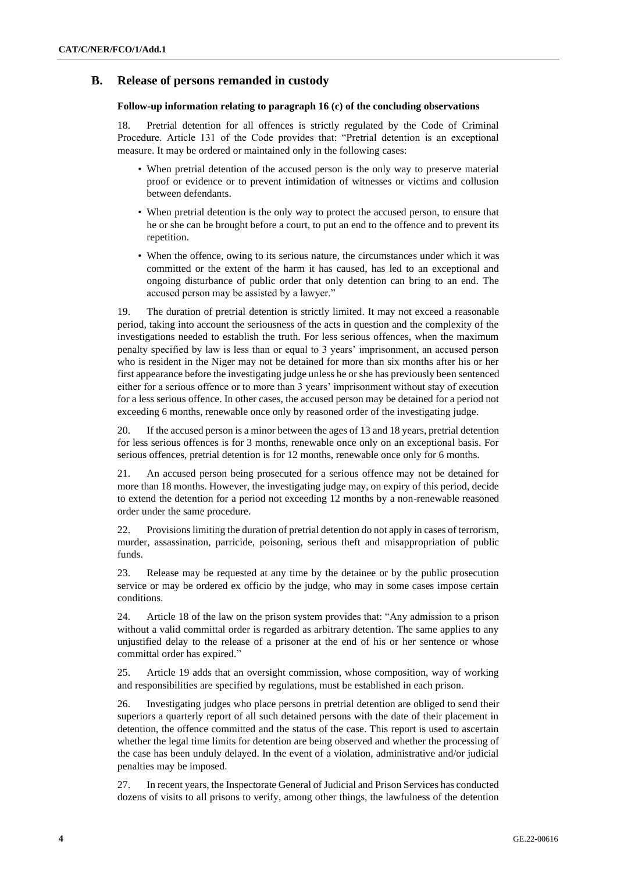### **B. Release of persons remanded in custody**

#### **Follow-up information relating to paragraph 16 (c) of the concluding observations**

18. Pretrial detention for all offences is strictly regulated by the Code of Criminal Procedure. Article 131 of the Code provides that: "Pretrial detention is an exceptional measure. It may be ordered or maintained only in the following cases:

- When pretrial detention of the accused person is the only way to preserve material proof or evidence or to prevent intimidation of witnesses or victims and collusion between defendants.
- When pretrial detention is the only way to protect the accused person, to ensure that he or she can be brought before a court, to put an end to the offence and to prevent its repetition.
- When the offence, owing to its serious nature, the circumstances under which it was committed or the extent of the harm it has caused, has led to an exceptional and ongoing disturbance of public order that only detention can bring to an end. The accused person may be assisted by a lawyer."

19. The duration of pretrial detention is strictly limited. It may not exceed a reasonable period, taking into account the seriousness of the acts in question and the complexity of the investigations needed to establish the truth. For less serious offences, when the maximum penalty specified by law is less than or equal to 3 years' imprisonment, an accused person who is resident in the Niger may not be detained for more than six months after his or her first appearance before the investigating judge unless he or she has previously been sentenced either for a serious offence or to more than 3 years' imprisonment without stay of execution for a less serious offence. In other cases, the accused person may be detained for a period not exceeding 6 months, renewable once only by reasoned order of the investigating judge.

20. If the accused person is a minor between the ages of 13 and 18 years, pretrial detention for less serious offences is for 3 months, renewable once only on an exceptional basis. For serious offences, pretrial detention is for 12 months, renewable once only for 6 months.

21. An accused person being prosecuted for a serious offence may not be detained for more than 18 months. However, the investigating judge may, on expiry of this period, decide to extend the detention for a period not exceeding 12 months by a non-renewable reasoned order under the same procedure.

22. Provisions limiting the duration of pretrial detention do not apply in cases of terrorism, murder, assassination, parricide, poisoning, serious theft and misappropriation of public funds.

23. Release may be requested at any time by the detainee or by the public prosecution service or may be ordered ex officio by the judge, who may in some cases impose certain conditions.

24. Article 18 of the law on the prison system provides that: "Any admission to a prison without a valid committal order is regarded as arbitrary detention. The same applies to any unjustified delay to the release of a prisoner at the end of his or her sentence or whose committal order has expired."

25. Article 19 adds that an oversight commission, whose composition, way of working and responsibilities are specified by regulations, must be established in each prison.

26. Investigating judges who place persons in pretrial detention are obliged to send their superiors a quarterly report of all such detained persons with the date of their placement in detention, the offence committed and the status of the case. This report is used to ascertain whether the legal time limits for detention are being observed and whether the processing of the case has been unduly delayed. In the event of a violation, administrative and/or judicial penalties may be imposed.

27. In recent years, the Inspectorate General of Judicial and Prison Services has conducted dozens of visits to all prisons to verify, among other things, the lawfulness of the detention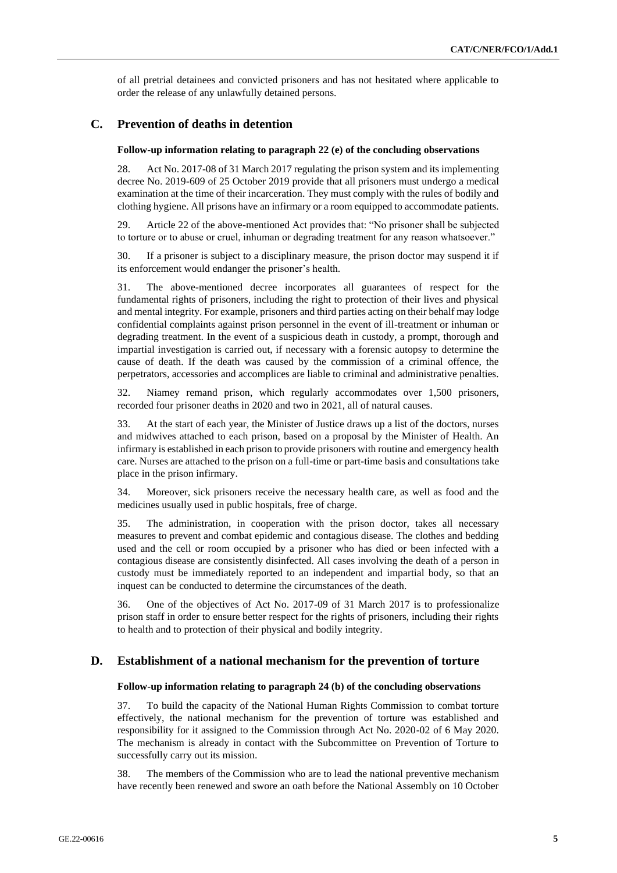of all pretrial detainees and convicted prisoners and has not hesitated where applicable to order the release of any unlawfully detained persons.

## **C. Prevention of deaths in detention**

#### **Follow-up information relating to paragraph 22 (e) of the concluding observations**

28. Act No. 2017-08 of 31 March 2017 regulating the prison system and its implementing decree No. 2019-609 of 25 October 2019 provide that all prisoners must undergo a medical examination at the time of their incarceration. They must comply with the rules of bodily and clothing hygiene. All prisons have an infirmary or a room equipped to accommodate patients.

29. Article 22 of the above-mentioned Act provides that: "No prisoner shall be subjected to torture or to abuse or cruel, inhuman or degrading treatment for any reason whatsoever."

30. If a prisoner is subject to a disciplinary measure, the prison doctor may suspend it if its enforcement would endanger the prisoner's health.

31. The above-mentioned decree incorporates all guarantees of respect for the fundamental rights of prisoners, including the right to protection of their lives and physical and mental integrity. For example, prisoners and third parties acting on their behalf may lodge confidential complaints against prison personnel in the event of ill-treatment or inhuman or degrading treatment. In the event of a suspicious death in custody, a prompt, thorough and impartial investigation is carried out, if necessary with a forensic autopsy to determine the cause of death. If the death was caused by the commission of a criminal offence, the perpetrators, accessories and accomplices are liable to criminal and administrative penalties.

32. Niamey remand prison, which regularly accommodates over 1,500 prisoners, recorded four prisoner deaths in 2020 and two in 2021, all of natural causes.

33. At the start of each year, the Minister of Justice draws up a list of the doctors, nurses and midwives attached to each prison, based on a proposal by the Minister of Health. An infirmary is established in each prison to provide prisoners with routine and emergency health care. Nurses are attached to the prison on a full-time or part-time basis and consultations take place in the prison infirmary.

34. Moreover, sick prisoners receive the necessary health care, as well as food and the medicines usually used in public hospitals, free of charge.

35. The administration, in cooperation with the prison doctor, takes all necessary measures to prevent and combat epidemic and contagious disease. The clothes and bedding used and the cell or room occupied by a prisoner who has died or been infected with a contagious disease are consistently disinfected. All cases involving the death of a person in custody must be immediately reported to an independent and impartial body, so that an inquest can be conducted to determine the circumstances of the death.

36. One of the objectives of Act No. 2017-09 of 31 March 2017 is to professionalize prison staff in order to ensure better respect for the rights of prisoners, including their rights to health and to protection of their physical and bodily integrity.

#### **D. Establishment of a national mechanism for the prevention of torture**

#### **Follow-up information relating to paragraph 24 (b) of the concluding observations**

37. To build the capacity of the National Human Rights Commission to combat torture effectively, the national mechanism for the prevention of torture was established and responsibility for it assigned to the Commission through Act No. 2020-02 of 6 May 2020. The mechanism is already in contact with the Subcommittee on Prevention of Torture to successfully carry out its mission.

38. The members of the Commission who are to lead the national preventive mechanism have recently been renewed and swore an oath before the National Assembly on 10 October